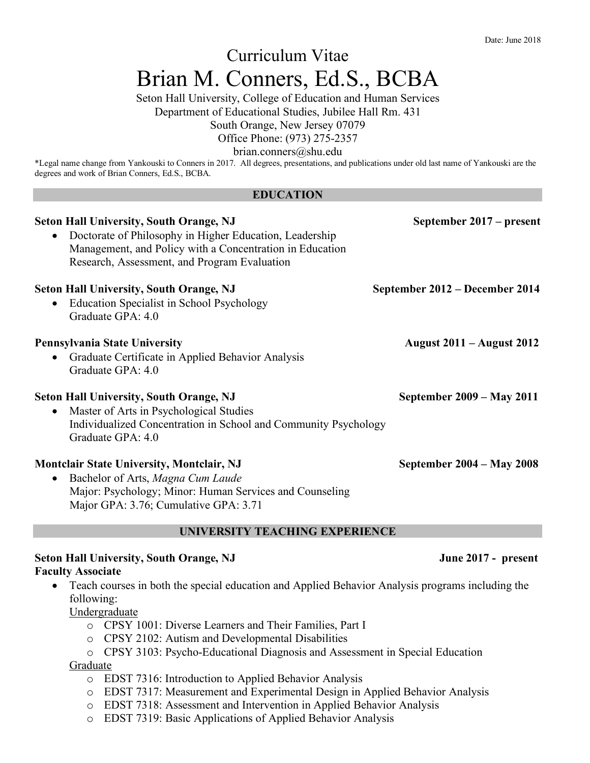# Curriculum Vitae Brian M. Conners, Ed.S., BCBA

Seton Hall University, College of Education and Human Services

Department of Educational Studies, Jubilee Hall Rm. 431

South Orange, New Jersey 07079

Office Phone: (973) 275-2357

brian.conners@shu.edu

\*Legal name change from Yankouski to Conners in 2017. All degrees, presentations, and publications under old last name of Yankouski are the degrees and work of Brian Conners, Ed.S., BCBA.

#### **EDUCATION**

| <b>Seton Hall University, South Orange, NJ</b><br>Doctorate of Philosophy in Higher Education, Leadership<br>Management, and Policy with a Concentration in Education<br>Research, Assessment, and Program Evaluation | September 2017 – present         |
|-----------------------------------------------------------------------------------------------------------------------------------------------------------------------------------------------------------------------|----------------------------------|
| <b>Seton Hall University, South Orange, NJ</b><br>Education Specialist in School Psychology<br>$\bullet$<br>Graduate GPA: 4.0                                                                                         | September 2012 – December 2014   |
| Pennsylvania State University<br>Graduate Certificate in Applied Behavior Analysis<br>$\bullet$<br>Graduate GPA: 4.0                                                                                                  | <b>August 2011 – August 2012</b> |
| <b>Seton Hall University, South Orange, NJ</b><br>Master of Arts in Psychological Studies<br>$\bullet$<br>Individualized Concentration in School and Community Psychology<br>Graduate GPA: 4.0                        | September 2009 – May 2011        |
| <b>Montclair State University, Montclair, NJ</b><br>Bachelor of Arts, Magna Cum Laude<br>$\bullet$<br>Major: Psychology; Minor: Human Services and Counseling<br>Major GPA: 3.76; Cumulative GPA: 3.71                | September 2004 – May 2008        |

### **UNIVERSITY TEACHING EXPERIENCE**

### Seton Hall University, South Orange, NJ **June 2017 - present Faculty Associate**

• Teach courses in both the special education and Applied Behavior Analysis programs including the following:

Undergraduate

- o CPSY 1001: Diverse Learners and Their Families, Part I
- o CPSY 2102: Autism and Developmental Disabilities
- o CPSY 3103: Psycho-Educational Diagnosis and Assessment in Special Education

Graduate

- o EDST 7316: Introduction to Applied Behavior Analysis
- o EDST 7317: Measurement and Experimental Design in Applied Behavior Analysis
- o EDST 7318: Assessment and Intervention in Applied Behavior Analysis
- o EDST 7319: Basic Applications of Applied Behavior Analysis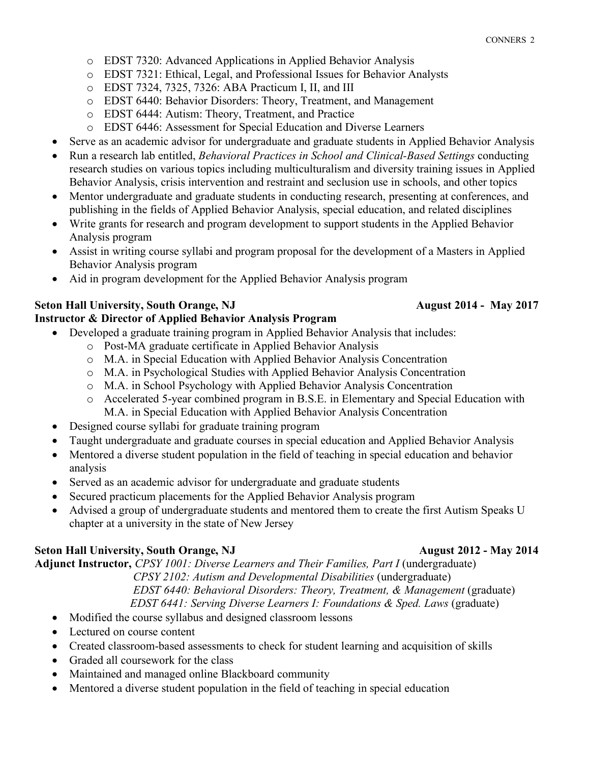- o EDST 7320: Advanced Applications in Applied Behavior Analysis
- o EDST 7321: Ethical, Legal, and Professional Issues for Behavior Analysts
- o EDST 7324, 7325, 7326: ABA Practicum I, II, and III
- o EDST 6440: Behavior Disorders: Theory, Treatment, and Management
- o EDST 6444: Autism: Theory, Treatment, and Practice
- o EDST 6446: Assessment for Special Education and Diverse Learners
- Serve as an academic advisor for undergraduate and graduate students in Applied Behavior Analysis
- Run a research lab entitled, *Behavioral Practices in School and Clinical-Based Settings* conducting research studies on various topics including multiculturalism and diversity training issues in Applied Behavior Analysis, crisis intervention and restraint and seclusion use in schools, and other topics
- Mentor undergraduate and graduate students in conducting research, presenting at conferences, and publishing in the fields of Applied Behavior Analysis, special education, and related disciplines
- Write grants for research and program development to support students in the Applied Behavior Analysis program
- Assist in writing course syllabi and program proposal for the development of a Masters in Applied Behavior Analysis program
- Aid in program development for the Applied Behavior Analysis program

# **Seton Hall University, South Orange, NJ** August 2014 - May 2017

# **Instructor & Director of Applied Behavior Analysis Program**

- Developed a graduate training program in Applied Behavior Analysis that includes:
	- o Post-MA graduate certificate in Applied Behavior Analysis
	- o M.A. in Special Education with Applied Behavior Analysis Concentration
	- o M.A. in Psychological Studies with Applied Behavior Analysis Concentration
	- o M.A. in School Psychology with Applied Behavior Analysis Concentration
	- o Accelerated 5-year combined program in B.S.E. in Elementary and Special Education with M.A. in Special Education with Applied Behavior Analysis Concentration
- Designed course syllabi for graduate training program
- Taught undergraduate and graduate courses in special education and Applied Behavior Analysis
- Mentored a diverse student population in the field of teaching in special education and behavior analysis
- Served as an academic advisor for undergraduate and graduate students
- Secured practicum placements for the Applied Behavior Analysis program
- Advised a group of undergraduate students and mentored them to create the first Autism Speaks U chapter at a university in the state of New Jersey

# **Seton Hall University, South Orange, NJ** August 2012 - May 2014

Adjunct Instructor, *CPSY 1001: Diverse Learners and Their Families, Part I* (undergraduate)

 *CPSY 2102: Autism and Developmental Disabilities* (undergraduate) *EDST 6440: Behavioral Disorders: Theory, Treatment, & Management* (graduate) *EDST 6441: Serving Diverse Learners I: Foundations & Sped. Laws* (graduate)

- Modified the course syllabus and designed classroom lessons
- Lectured on course content
- Created classroom-based assessments to check for student learning and acquisition of skills
- Graded all coursework for the class
- Maintained and managed online Blackboard community
- Mentored a diverse student population in the field of teaching in special education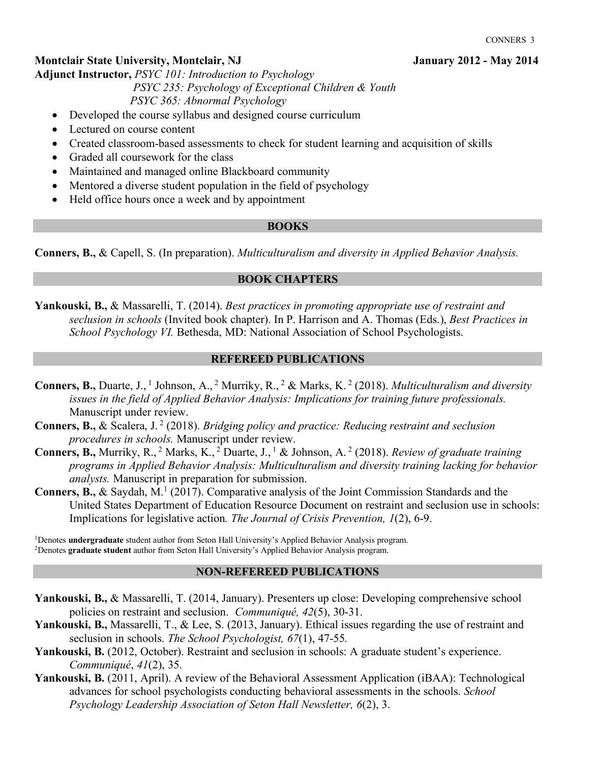# **Montclair State University, Montclair, NJ January 2012 - May 2014**

**Adjunct Instructor,** *PSYC 101: Introduction to Psychology*

 *PSYC 235: Psychology of Exceptional Children & Youth PSYC 365: Abnormal Psychology* 

- Developed the course syllabus and designed course curriculum
- Lectured on course content
- Created classroom-based assessments to check for student learning and acquisition of skills
- Graded all coursework for the class
- Maintained and managed online Blackboard community
- Mentored a diverse student population in the field of psychology
- Held office hours once a week and by appointment

### **BOOKS**

**Conners, B.,** & Capell, S. (In preparation). *Multiculturalism and diversity in Applied Behavior Analysis.* 

### **BOOK CHAPTERS**

**Yankouski, B.,** & Massarelli, T. (2014). *Best practices in promoting appropriate use of restraint and seclusion in schools* (Invited book chapter). In P. Harrison and A. Thomas (Eds.), *Best Practices in School Psychology VI.* Bethesda, MD: National Association of School Psychologists.

### **REFEREED PUBLICATIONS**

- **Conners, B.,** Duarte, J., <sup>1</sup> Johnson, A., <sup>2</sup> Murriky, R., <sup>2</sup> & Marks, K. <sup>2</sup> (2018). *Multiculturalism and diversity issues in the field of Applied Behavior Analysis: Implications for training future professionals.* Manuscript under review.
- **Conners, B.,** & Scalera, J. <sup>2</sup> (2018). *Bridging policy and practice: Reducing restraint and seclusion procedures in schools.* Manuscript under review.
- **Conners, B.,** Murriky, R., <sup>2</sup> Marks, K., <sup>2</sup> Duarte, J., <sup>1</sup> & Johnson, A. <sup>2</sup> (2018). *Review of graduate training programs in Applied Behavior Analysis: Multiculturalism and diversity training lacking for behavior analysts.* Manuscript in preparation for submission.
- **Conners, B., & Saydah, M.<sup>1</sup> (2017). Comparative analysis of the Joint Commission Standards and the** United States Department of Education Resource Document on restraint and seclusion use in schools: Implications for legislative action*. The Journal of Crisis Prevention, 1*(2), 6-9.

<sup>1</sup>Denotes **undergraduate** student author from Seton Hall University's Applied Behavior Analysis program. 2Denotes **graduate student** author from Seton Hall University's Applied Behavior Analysis program.

### **NON-REFEREED PUBLICATIONS**

- **Yankouski, B.,** & Massarelli, T. (2014, January). Presenters up close: Developing comprehensive school policies on restraint and seclusion. *Communiqué, 42*(5), 30-31.
- **Yankouski, B.,** Massarelli, T., & Lee, S. (2013, January). Ethical issues regarding the use of restraint and seclusion in schools. *The School Psychologist, 67*(1), 47-55*.*
- Yankouski, B. (2012, October). Restraint and seclusion in schools: A graduate student's experience. *Communiqué*, *41*(2), 35.
- **Yankouski, B.** (2011, April). A review of the Behavioral Assessment Application (iBAA): Technological advances for school psychologists conducting behavioral assessments in the schools. *School Psychology Leadership Association of Seton Hall Newsletter, 6*(2), 3.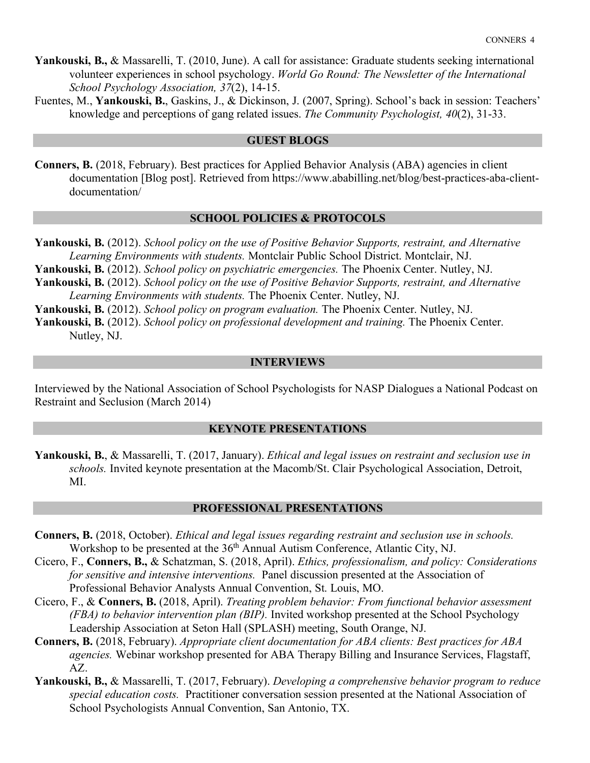- **Yankouski, B.,** & Massarelli, T. (2010, June). A call for assistance: Graduate students seeking international volunteer experiences in school psychology. *World Go Round: The Newsletter of the International School Psychology Association, 37*(2), 14-15.
- Fuentes, M., **Yankouski, B.**, Gaskins, J., & Dickinson, J. (2007, Spring). School's back in session: Teachers' knowledge and perceptions of gang related issues. *The Community Psychologist, 40*(2), 31-33.

#### **GUEST BLOGS**

**Conners, B.** (2018, February). Best practices for Applied Behavior Analysis (ABA) agencies in client documentation [Blog post]. Retrieved from https://www.ababilling.net/blog/best-practices-aba-clientdocumentation/

### **SCHOOL POLICIES & PROTOCOLS**

**Yankouski, B.** (2012). *School policy on the use of Positive Behavior Supports, restraint, and Alternative Learning Environments with students.* Montclair Public School District. Montclair, NJ.

**Yankouski, B.** (2012). *School policy on psychiatric emergencies.* The Phoenix Center. Nutley, NJ.

- **Yankouski, B.** (2012). *School policy on the use of Positive Behavior Supports, restraint, and Alternative Learning Environments with students.* The Phoenix Center. Nutley, NJ.
- **Yankouski, B.** (2012). *School policy on program evaluation.* The Phoenix Center. Nutley, NJ.

**Yankouski, B.** (2012). *School policy on professional development and training.* The Phoenix Center. Nutley, NJ.

### **INTERVIEWS**

Interviewed by the National Association of School Psychologists for NASP Dialogues a National Podcast on Restraint and Seclusion (March 2014)

#### **KEYNOTE PRESENTATIONS**

**Yankouski, B.**, & Massarelli, T. (2017, January). *Ethical and legal issues on restraint and seclusion use in schools.* Invited keynote presentation at the Macomb/St. Clair Psychological Association, Detroit, MI.

### **PROFESSIONAL PRESENTATIONS**

- **Conners, B.** (2018, October). *Ethical and legal issues regarding restraint and seclusion use in schools.*  Workshop to be presented at the 36<sup>th</sup> Annual Autism Conference, Atlantic City, NJ.
- Cicero, F., **Conners, B.,** & Schatzman, S. (2018, April). *Ethics, professionalism, and policy: Considerations for sensitive and intensive interventions.* Panel discussion presented at the Association of Professional Behavior Analysts Annual Convention, St. Louis, MO.
- Cicero, F., & **Conners, B.** (2018, April). *Treating problem behavior: From functional behavior assessment (FBA) to behavior intervention plan (BIP).* Invited workshop presented at the School Psychology Leadership Association at Seton Hall (SPLASH) meeting, South Orange, NJ.
- **Conners, B.** (2018, February). *Appropriate client documentation for ABA clients: Best practices for ABA agencies.* Webinar workshop presented for ABA Therapy Billing and Insurance Services, Flagstaff, AZ.
- **Yankouski, B.,** & Massarelli, T. (2017, February). *Developing a comprehensive behavior program to reduce special education costs.* Practitioner conversation session presented at the National Association of School Psychologists Annual Convention, San Antonio, TX.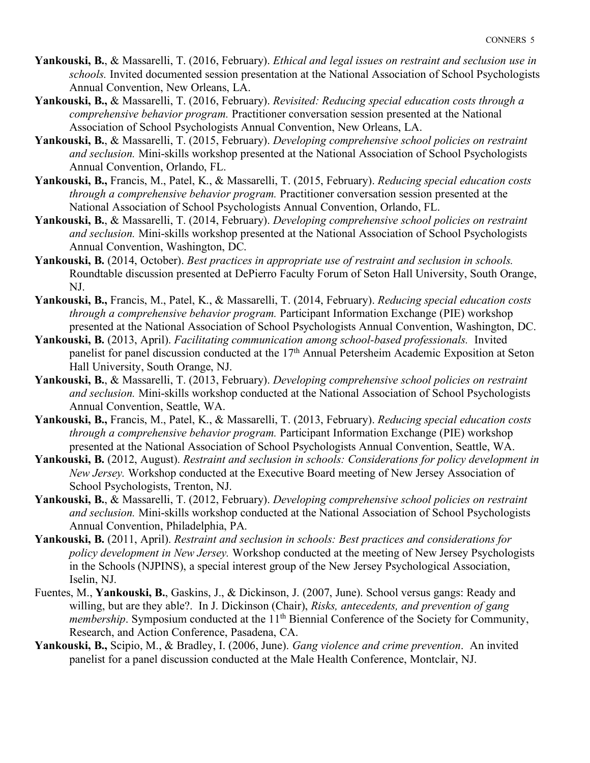- **Yankouski, B.**, & Massarelli, T. (2016, February). *Ethical and legal issues on restraint and seclusion use in schools.* Invited documented session presentation at the National Association of School Psychologists Annual Convention, New Orleans, LA.
- **Yankouski, B.,** & Massarelli, T. (2016, February). *Revisited: Reducing special education costs through a comprehensive behavior program.* Practitioner conversation session presented at the National Association of School Psychologists Annual Convention, New Orleans, LA.
- **Yankouski, B.**, & Massarelli, T. (2015, February). *Developing comprehensive school policies on restraint and seclusion.* Mini-skills workshop presented at the National Association of School Psychologists Annual Convention, Orlando, FL.
- **Yankouski, B.,** Francis, M., Patel, K., & Massarelli, T. (2015, February). *Reducing special education costs through a comprehensive behavior program.* Practitioner conversation session presented at the National Association of School Psychologists Annual Convention, Orlando, FL.
- **Yankouski, B.**, & Massarelli, T. (2014, February). *Developing comprehensive school policies on restraint and seclusion.* Mini-skills workshop presented at the National Association of School Psychologists Annual Convention, Washington, DC.
- **Yankouski, B.** (2014, October). *Best practices in appropriate use of restraint and seclusion in schools.*  Roundtable discussion presented at DePierro Faculty Forum of Seton Hall University, South Orange, NJ.
- **Yankouski, B.,** Francis, M., Patel, K., & Massarelli, T. (2014, February). *Reducing special education costs through a comprehensive behavior program.* Participant Information Exchange (PIE) workshop presented at the National Association of School Psychologists Annual Convention, Washington, DC.
- **Yankouski, B.** (2013, April). *Facilitating communication among school-based professionals.* Invited panelist for panel discussion conducted at the 17<sup>th</sup> Annual Petersheim Academic Exposition at Seton Hall University, South Orange, NJ.
- **Yankouski, B.**, & Massarelli, T. (2013, February). *Developing comprehensive school policies on restraint and seclusion.* Mini-skills workshop conducted at the National Association of School Psychologists Annual Convention, Seattle, WA.
- **Yankouski, B.,** Francis, M., Patel, K., & Massarelli, T. (2013, February). *Reducing special education costs through a comprehensive behavior program.* Participant Information Exchange (PIE) workshop presented at the National Association of School Psychologists Annual Convention, Seattle, WA.
- **Yankouski, B.** (2012, August). *Restraint and seclusion in schools: Considerations for policy development in New Jersey.* Workshop conducted at the Executive Board meeting of New Jersey Association of School Psychologists, Trenton, NJ.
- **Yankouski, B.**, & Massarelli, T. (2012, February). *Developing comprehensive school policies on restraint and seclusion.* Mini-skills workshop conducted at the National Association of School Psychologists Annual Convention, Philadelphia, PA.
- **Yankouski, B.** (2011, April). *Restraint and seclusion in schools: Best practices and considerations for policy development in New Jersey.* Workshop conducted at the meeting of New Jersey Psychologists in the Schools (NJPINS), a special interest group of the New Jersey Psychological Association, Iselin, NJ.
- Fuentes, M., **Yankouski, B.**, Gaskins, J., & Dickinson, J. (2007, June). School versus gangs: Ready and willing, but are they able?. In J. Dickinson (Chair), *Risks, antecedents, and prevention of gang membership*. Symposium conducted at the 11<sup>th</sup> Biennial Conference of the Society for Community, Research, and Action Conference, Pasadena, CA.
- **Yankouski, B.,** Scipio, M., & Bradley, I. (2006, June). *Gang violence and crime prevention*. An invited panelist for a panel discussion conducted at the Male Health Conference, Montclair, NJ.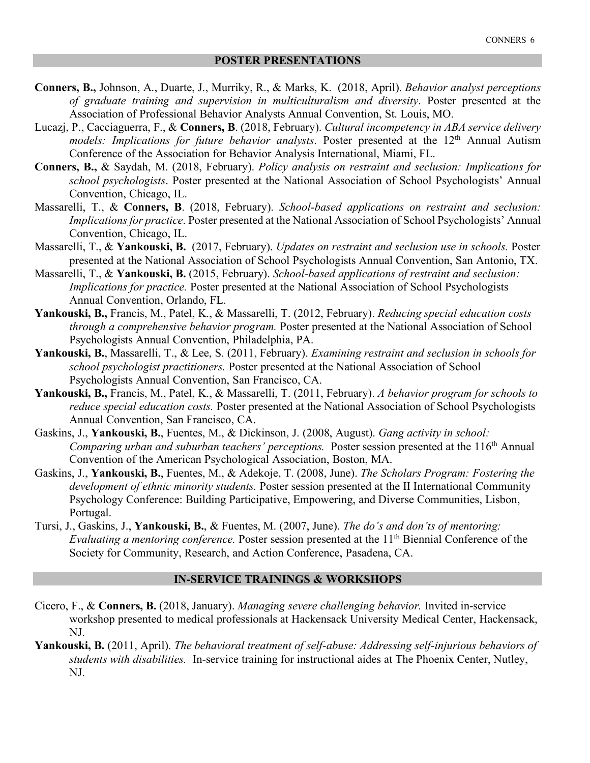- **Conners, B.,** Johnson, A., Duarte, J., Murriky, R., & Marks, K. (2018, April). *Behavior analyst perceptions of graduate training and supervision in multiculturalism and diversity*. Poster presented at the Association of Professional Behavior Analysts Annual Convention, St. Louis, MO.
- Lucazj, P., Cacciaguerra, F., & **Conners, B**. (2018, February). *Cultural incompetency in ABA service delivery models: Implications for future behavior analysts.* Poster presented at the 12<sup>th</sup> Annual Autism Conference of the Association for Behavior Analysis International, Miami, FL.
- **Conners, B.,** & Saydah, M. (2018, February). *Policy analysis on restraint and seclusion: Implications for school psychologists*. Poster presented at the National Association of School Psychologists' Annual Convention, Chicago, IL.
- Massarelli, T., & **Conners, B**. (2018, February). *School-based applications on restraint and seclusion: Implications for practice*. Poster presented at the National Association of School Psychologists' Annual Convention, Chicago, IL.
- Massarelli, T., & **Yankouski, B.** (2017, February). *Updates on restraint and seclusion use in schools.* Poster presented at the National Association of School Psychologists Annual Convention, San Antonio, TX.
- Massarelli, T., & **Yankouski, B.** (2015, February). *School-based applications of restraint and seclusion: Implications for practice.* Poster presented at the National Association of School Psychologists Annual Convention, Orlando, FL.
- **Yankouski, B.,** Francis, M., Patel, K., & Massarelli, T. (2012, February). *Reducing special education costs through a comprehensive behavior program.* Poster presented at the National Association of School Psychologists Annual Convention, Philadelphia, PA.
- **Yankouski, B.**, Massarelli, T., & Lee, S. (2011, February). *Examining restraint and seclusion in schools for school psychologist practitioners.* Poster presented at the National Association of School Psychologists Annual Convention, San Francisco, CA.
- **Yankouski, B.,** Francis, M., Patel, K., & Massarelli, T. (2011, February). *A behavior program for schools to reduce special education costs.* Poster presented at the National Association of School Psychologists Annual Convention, San Francisco, CA.
- Gaskins, J., **Yankouski, B.**, Fuentes, M., & Dickinson, J. (2008, August). *Gang activity in school: Comparing urban and suburban teachers' perceptions.* Poster session presented at the 116<sup>th</sup> Annual Convention of the American Psychological Association, Boston, MA.
- Gaskins, J., **Yankouski, B.**, Fuentes, M., & Adekoje, T. (2008, June). *The Scholars Program: Fostering the development of ethnic minority students.* Poster session presented at the II International Community Psychology Conference: Building Participative, Empowering, and Diverse Communities, Lisbon, Portugal.
- Tursi, J., Gaskins, J., **Yankouski, B.**, & Fuentes, M. (2007, June). *The do's and don'ts of mentoring: Evaluating a mentoring conference.* Poster session presented at the 11<sup>th</sup> Biennial Conference of the Society for Community, Research, and Action Conference, Pasadena, CA.

### **IN-SERVICE TRAININGS & WORKSHOPS**

- Cicero, F., & **Conners, B.** (2018, January). *Managing severe challenging behavior.* Invited in-service workshop presented to medical professionals at Hackensack University Medical Center, Hackensack, NJ.
- **Yankouski, B.** (2011, April). *The behavioral treatment of self-abuse: Addressing self-injurious behaviors of students with disabilities.* In-service training for instructional aides at The Phoenix Center, Nutley, NJ.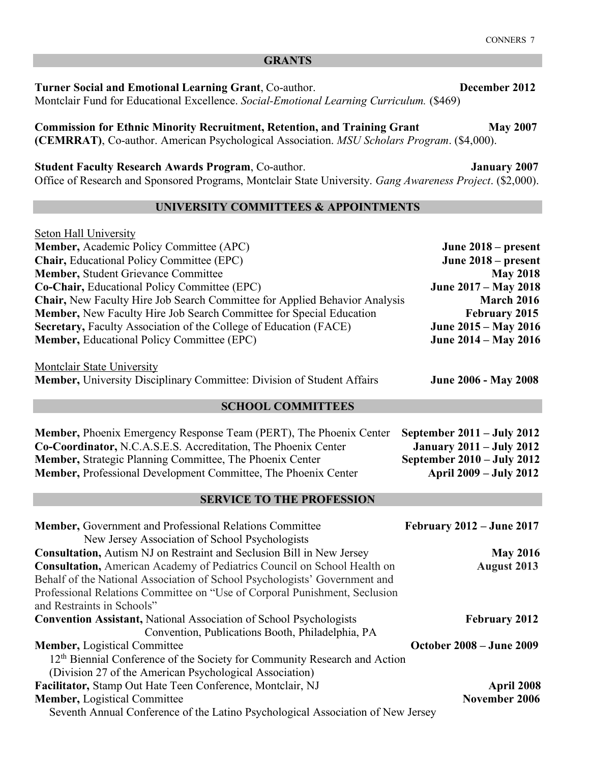**Turner Social and Emotional Learning Grant**, Co-author. **December 2012**  Montclair Fund for Educational Excellence. *Social-Emotional Learning Curriculum.* (\$469)

**Commission for Ethnic Minority Recruitment, Retention, and Training Grant May 2007 (CEMRRAT)**, Co-author. American Psychological Association. *MSU Scholars Program*. (\$4,000).

**Student Faculty Research Awards Program**, Co-author. **January 2007** 

Office of Research and Sponsored Programs, Montclair State University. *Gang Awareness Project*. (\$2,000).

# **UNIVERSITY COMMITTEES & APPOINTMENTS**

| <b>Seton Hall University</b>                                                      |                             |  |
|-----------------------------------------------------------------------------------|-----------------------------|--|
| <b>Member, Academic Policy Committee (APC)</b>                                    | June $2018$ – present       |  |
| <b>Chair, Educational Policy Committee (EPC)</b>                                  | June $2018$ – present       |  |
| <b>Member, Student Grievance Committee</b>                                        | <b>May 2018</b>             |  |
| <b>Co-Chair, Educational Policy Committee (EPC)</b>                               | June 2017 – May 2018        |  |
| <b>Chair, New Faculty Hire Job Search Committee for Applied Behavior Analysis</b> | <b>March 2016</b>           |  |
| <b>Member, New Faculty Hire Job Search Committee for Special Education</b>        | <b>February 2015</b>        |  |
| Secretary, Faculty Association of the College of Education (FACE)                 | <b>June 2015 – May 2016</b> |  |
| <b>Member, Educational Policy Committee (EPC)</b>                                 | <b>June 2014 – May 2016</b> |  |
| Montclair State University                                                        |                             |  |
| Member, University Disciplinary Committee: Division of Student Affairs            | <b>June 2006 - May 2008</b> |  |
|                                                                                   |                             |  |

#### **SCHOOL COMMITTEES**

| <b>Member, Phoenix Emergency Response Team (PERT), The Phoenix Center</b> | September $2011 - \text{July } 2012$ |
|---------------------------------------------------------------------------|--------------------------------------|
| Co-Coordinator, N.C.A.S.E.S. Accreditation, The Phoenix Center            | <b>January 2011 – July 2012</b>      |
| <b>Member, Strategic Planning Committee, The Phoenix Center</b>           | September $2010 - \text{July } 2012$ |
| <b>Member, Professional Development Committee, The Phoenix Center</b>     | <b>April 2009 – July 2012</b>        |

# **SERVICE TO THE PROFESSION**

| Member, Government and Professional Relations Committee                               | <b>February 2012 – June 2017</b> |
|---------------------------------------------------------------------------------------|----------------------------------|
| New Jersey Association of School Psychologists                                        |                                  |
| <b>Consultation, Autism NJ on Restraint and Seclusion Bill in New Jersey</b>          | <b>May 2016</b>                  |
| <b>Consultation, American Academy of Pediatrics Council on School Health on</b>       | <b>August 2013</b>               |
| Behalf of the National Association of School Psychologists' Government and            |                                  |
| Professional Relations Committee on "Use of Corporal Punishment, Seclusion            |                                  |
| and Restraints in Schools"                                                            |                                  |
| <b>Convention Assistant, National Association of School Psychologists</b>             | <b>February 2012</b>             |
| Convention, Publications Booth, Philadelphia, PA                                      |                                  |
| <b>Member, Logistical Committee</b>                                                   | <b>October 2008 – June 2009</b>  |
| 12 <sup>th</sup> Biennial Conference of the Society for Community Research and Action |                                  |
| (Division 27 of the American Psychological Association)                               |                                  |
| Facilitator, Stamp Out Hate Teen Conference, Montclair, NJ                            | April 2008                       |
| <b>Member, Logistical Committee</b>                                                   | November 2006                    |
| Seventh Annual Conference of the Latino Psychological Association of New Jersey       |                                  |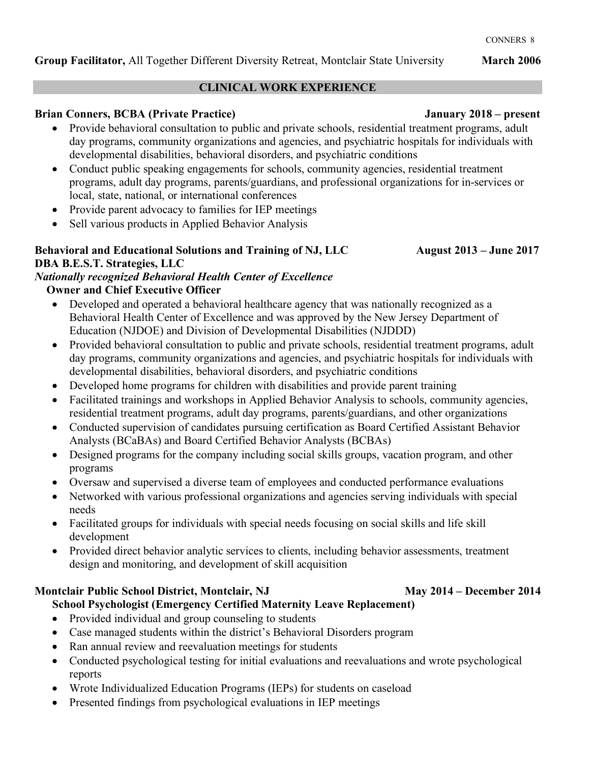# **CLINICAL WORK EXPERIENCE**

# **Brian Conners, BCBA (Private Practice) January 2018 – present**

- Provide behavioral consultation to public and private schools, residential treatment programs, adult day programs, community organizations and agencies, and psychiatric hospitals for individuals with developmental disabilities, behavioral disorders, and psychiatric conditions
- Conduct public speaking engagements for schools, community agencies, residential treatment programs, adult day programs, parents/guardians, and professional organizations for in-services or local, state, national, or international conferences
- Provide parent advocacy to families for IEP meetings
- Sell various products in Applied Behavior Analysis

# Behavioral and Educational Solutions and Training of NJ, LLC August 2013 – June 2017 **DBA B.E.S.T. Strategies, LLC**

# *Nationally recognized Behavioral Health Center of Excellence*  **Owner and Chief Executive Officer**

- Developed and operated a behavioral healthcare agency that was nationally recognized as a Behavioral Health Center of Excellence and was approved by the New Jersey Department of Education (NJDOE) and Division of Developmental Disabilities (NJDDD)
- Provided behavioral consultation to public and private schools, residential treatment programs, adult day programs, community organizations and agencies, and psychiatric hospitals for individuals with developmental disabilities, behavioral disorders, and psychiatric conditions
- Developed home programs for children with disabilities and provide parent training
- Facilitated trainings and workshops in Applied Behavior Analysis to schools, community agencies, residential treatment programs, adult day programs, parents/guardians, and other organizations
- Conducted supervision of candidates pursuing certification as Board Certified Assistant Behavior Analysts (BCaBAs) and Board Certified Behavior Analysts (BCBAs)
- Designed programs for the company including social skills groups, vacation program, and other programs
- Oversaw and supervised a diverse team of employees and conducted performance evaluations
- Networked with various professional organizations and agencies serving individuals with special needs
- Facilitated groups for individuals with special needs focusing on social skills and life skill development
- Provided direct behavior analytic services to clients, including behavior assessments, treatment design and monitoring, and development of skill acquisition

# **Montclair Public School District, Montclair, NJ May 2014 – December 2014**

# **School Psychologist (Emergency Certified Maternity Leave Replacement)**

- Provided individual and group counseling to students
- Case managed students within the district's Behavioral Disorders program
- Ran annual review and reevaluation meetings for students
- Conducted psychological testing for initial evaluations and reevaluations and wrote psychological reports
- Wrote Individualized Education Programs (IEPs) for students on caseload
- Presented findings from psychological evaluations in IEP meetings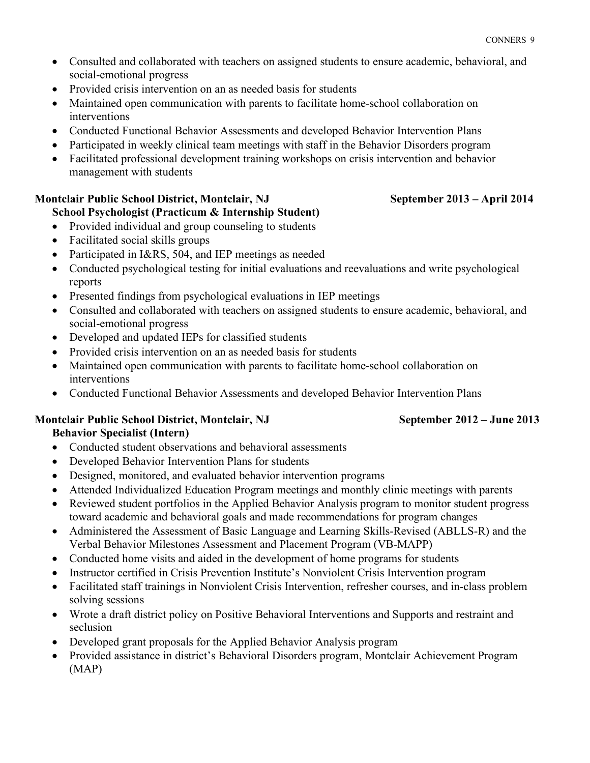- Consulted and collaborated with teachers on assigned students to ensure academic, behavioral, and social-emotional progress
- Provided crisis intervention on an as needed basis for students
- Maintained open communication with parents to facilitate home-school collaboration on interventions
- Conducted Functional Behavior Assessments and developed Behavior Intervention Plans
- Participated in weekly clinical team meetings with staff in the Behavior Disorders program
- Facilitated professional development training workshops on crisis intervention and behavior management with students

# **Montclair Public School District, Montclair, NJ September 2013 – April 2014**

- **School Psychologist (Practicum & Internship Student)** • Provided individual and group counseling to students
- Facilitated social skills groups
- Participated in I&RS, 504, and IEP meetings as needed
- Conducted psychological testing for initial evaluations and reevaluations and write psychological reports
- Presented findings from psychological evaluations in IEP meetings
- Consulted and collaborated with teachers on assigned students to ensure academic, behavioral, and social-emotional progress
- Developed and updated IEPs for classified students
- Provided crisis intervention on an as needed basis for students
- Maintained open communication with parents to facilitate home-school collaboration on interventions
- Conducted Functional Behavior Assessments and developed Behavior Intervention Plans

### **Montclair Public School District, Montclair, NJ September 2012 – June 2013 Behavior Specialist (Intern)**

- Conducted student observations and behavioral assessments
- Developed Behavior Intervention Plans for students
- Designed, monitored, and evaluated behavior intervention programs
- Attended Individualized Education Program meetings and monthly clinic meetings with parents
- Reviewed student portfolios in the Applied Behavior Analysis program to monitor student progress toward academic and behavioral goals and made recommendations for program changes
- Administered the Assessment of Basic Language and Learning Skills-Revised (ABLLS-R) and the Verbal Behavior Milestones Assessment and Placement Program (VB-MAPP)
- Conducted home visits and aided in the development of home programs for students
- Instructor certified in Crisis Prevention Institute's Nonviolent Crisis Intervention program
- Facilitated staff trainings in Nonviolent Crisis Intervention, refresher courses, and in-class problem solving sessions
- Wrote a draft district policy on Positive Behavioral Interventions and Supports and restraint and seclusion
- Developed grant proposals for the Applied Behavior Analysis program
- Provided assistance in district's Behavioral Disorders program, Montclair Achievement Program (MAP)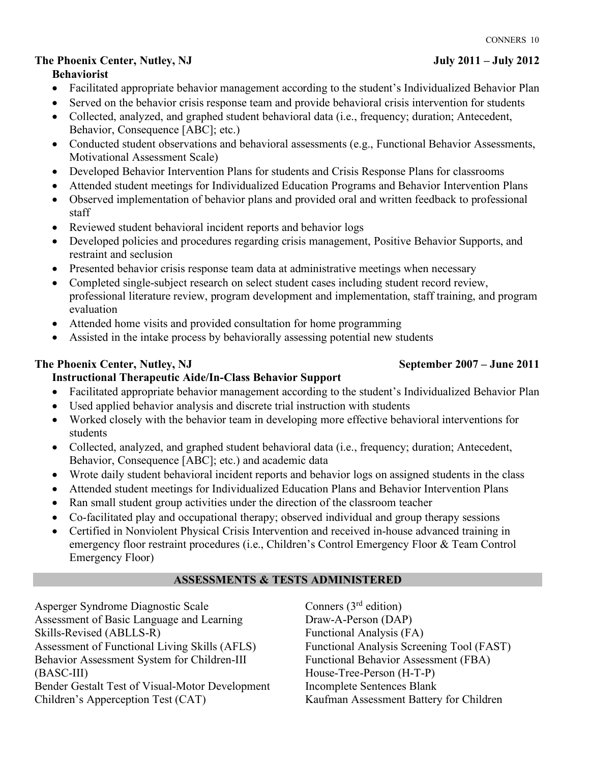# **The Phoenix Center, Nutley, NJ July 2011 – July 2012**

### **Behaviorist**

- Facilitated appropriate behavior management according to the student's Individualized Behavior Plan
- Served on the behavior crisis response team and provide behavioral crisis intervention for students
- Collected, analyzed, and graphed student behavioral data (i.e., frequency; duration; Antecedent, Behavior, Consequence [ABC]; etc.)
- Conducted student observations and behavioral assessments (e.g., Functional Behavior Assessments, Motivational Assessment Scale)
- Developed Behavior Intervention Plans for students and Crisis Response Plans for classrooms
- Attended student meetings for Individualized Education Programs and Behavior Intervention Plans
- Observed implementation of behavior plans and provided oral and written feedback to professional staff
- Reviewed student behavioral incident reports and behavior logs
- Developed policies and procedures regarding crisis management, Positive Behavior Supports, and restraint and seclusion
- Presented behavior crisis response team data at administrative meetings when necessary
- Completed single-subject research on select student cases including student record review, professional literature review, program development and implementation, staff training, and program evaluation
- Attended home visits and provided consultation for home programming
- Assisted in the intake process by behaviorally assessing potential new students

# The Phoenix Center, Nutley, NJ September 2007 – June 2011

# **Instructional Therapeutic Aide/In-Class Behavior Support**

- Facilitated appropriate behavior management according to the student's Individualized Behavior Plan
- Used applied behavior analysis and discrete trial instruction with students
- Worked closely with the behavior team in developing more effective behavioral interventions for students
- Collected, analyzed, and graphed student behavioral data (i.e., frequency; duration; Antecedent, Behavior, Consequence [ABC]; etc.) and academic data
- Wrote daily student behavioral incident reports and behavior logs on assigned students in the class
- Attended student meetings for Individualized Education Plans and Behavior Intervention Plans
- Ran small student group activities under the direction of the classroom teacher
- Co-facilitated play and occupational therapy; observed individual and group therapy sessions
- Certified in Nonviolent Physical Crisis Intervention and received in-house advanced training in emergency floor restraint procedures (i.e., Children's Control Emergency Floor & Team Control Emergency Floor)

# **ASSESSMENTS & TESTS ADMINISTERED**

Asperger Syndrome Diagnostic Scale Assessment of Basic Language and Learning Skills-Revised (ABLLS-R) Assessment of Functional Living Skills (AFLS) Behavior Assessment System for Children-III (BASC-III) Bender Gestalt Test of Visual-Motor Development Children's Apperception Test (CAT)

Conners (3rd edition) Draw-A-Person (DAP) Functional Analysis (FA) Functional Analysis Screening Tool (FAST) Functional Behavior Assessment (FBA) House-Tree-Person (H-T-P) Incomplete Sentences Blank Kaufman Assessment Battery for Children